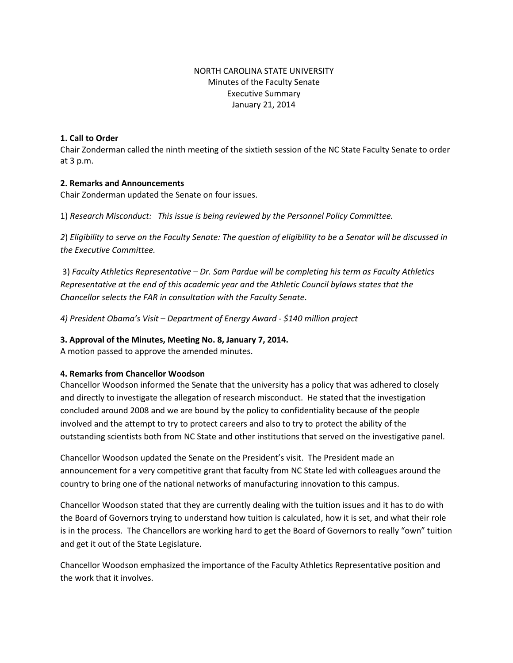# NORTH CAROLINA STATE UNIVERSITY Minutes of the Faculty Senate Executive Summary January 21, 2014

### **1. Call to Order**

Chair Zonderman called the ninth meeting of the sixtieth session of the NC State Faculty Senate to order at 3 p.m.

### **2. Remarks and Announcements**

Chair Zonderman updated the Senate on four issues.

1) *Research Misconduct: This issue is being reviewed by the Personnel Policy Committee.*

*2*) *Eligibility to serve on the Faculty Senate: The question of eligibility to be a Senator will be discussed in the Executive Committee.* 

3) *Faculty Athletics Representative – Dr. Sam Pardue will be completing his term as Faculty Athletics Representative at the end of this academic year and the Athletic Council bylaws states that the Chancellor selects the FAR in consultation with the Faculty Senate*.

*4) President Obama's Visit – Department of Energy Award - \$140 million project* 

### **3. Approval of the Minutes, Meeting No. 8, January 7, 2014.**

A motion passed to approve the amended minutes.

### **4. Remarks from Chancellor Woodson**

Chancellor Woodson informed the Senate that the university has a policy that was adhered to closely and directly to investigate the allegation of research misconduct. He stated that the investigation concluded around 2008 and we are bound by the policy to confidentiality because of the people involved and the attempt to try to protect careers and also to try to protect the ability of the outstanding scientists both from NC State and other institutions that served on the investigative panel.

Chancellor Woodson updated the Senate on the President's visit. The President made an announcement for a very competitive grant that faculty from NC State led with colleagues around the country to bring one of the national networks of manufacturing innovation to this campus.

Chancellor Woodson stated that they are currently dealing with the tuition issues and it has to do with the Board of Governors trying to understand how tuition is calculated, how it is set, and what their role is in the process. The Chancellors are working hard to get the Board of Governors to really "own" tuition and get it out of the State Legislature.

Chancellor Woodson emphasized the importance of the Faculty Athletics Representative position and the work that it involves.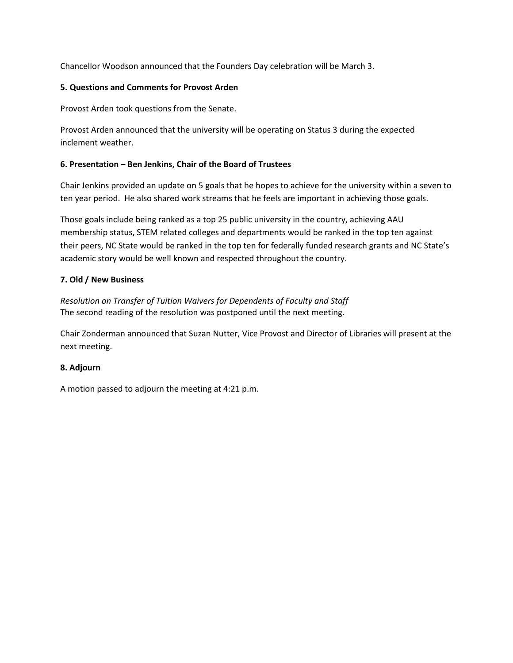Chancellor Woodson announced that the Founders Day celebration will be March 3.

## **5. Questions and Comments for Provost Arden**

Provost Arden took questions from the Senate.

Provost Arden announced that the university will be operating on Status 3 during the expected inclement weather.

## **6. Presentation – Ben Jenkins, Chair of the Board of Trustees**

Chair Jenkins provided an update on 5 goals that he hopes to achieve for the university within a seven to ten year period. He also shared work streams that he feels are important in achieving those goals.

Those goals include being ranked as a top 25 public university in the country, achieving AAU membership status, STEM related colleges and departments would be ranked in the top ten against their peers, NC State would be ranked in the top ten for federally funded research grants and NC State's academic story would be well known and respected throughout the country.

## **7. Old / New Business**

*Resolution on Transfer of Tuition Waivers for Dependents of Faculty and Staff*  The second reading of the resolution was postponed until the next meeting.

Chair Zonderman announced that Suzan Nutter, Vice Provost and Director of Libraries will present at the next meeting.

### **8. Adjourn**

A motion passed to adjourn the meeting at 4:21 p.m.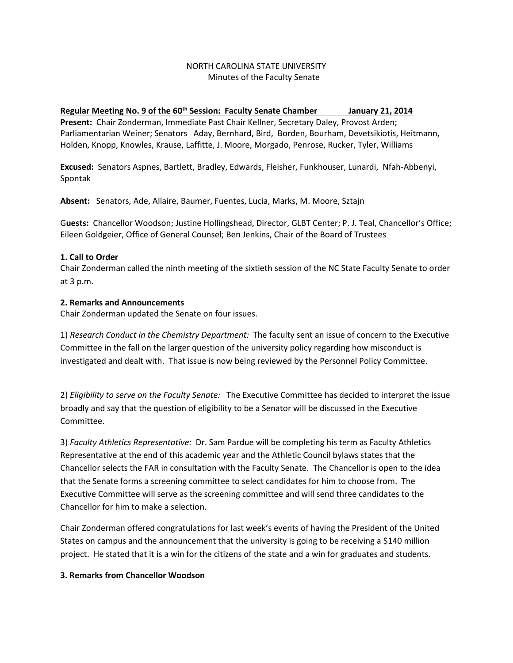### NORTH CAROLINA STATE UNIVERSITY Minutes of the Faculty Senate

# Regular Meeting No. 9 of the 60<sup>th</sup> Session: Faculty Senate Chamber January 21, 2014

**Present:** Chair Zonderman, Immediate Past Chair Kellner, Secretary Daley, Provost Arden; Parliamentarian Weiner; Senators Aday, Bernhard, Bird, Borden, Bourham, Devetsikiotis, Heitmann, Holden, Knopp, Knowles, Krause, Laffitte, J. Moore, Morgado, Penrose, Rucker, Tyler, Williams

**Excused:** Senators Aspnes, Bartlett, Bradley, Edwards, Fleisher, Funkhouser, Lunardi, Nfah-Abbenyi, Spontak

**Absent:** Senators, Ade, Allaire, Baumer, Fuentes, Lucia, Marks, M. Moore, Sztajn

G**uests:** Chancellor Woodson; Justine Hollingshead, Director, GLBT Center; P. J. Teal, Chancellor's Office; Eileen Goldgeier, Office of General Counsel; Ben Jenkins, Chair of the Board of Trustees

## **1. Call to Order**

Chair Zonderman called the ninth meeting of the sixtieth session of the NC State Faculty Senate to order at 3 p.m.

## **2. Remarks and Announcements**

Chair Zonderman updated the Senate on four issues.

1) *Research Conduct in the Chemistry Department:* The faculty sent an issue of concern to the Executive Committee in the fall on the larger question of the university policy regarding how misconduct is investigated and dealt with. That issue is now being reviewed by the Personnel Policy Committee.

2) *Eligibility to serve on the Faculty Senate:* The Executive Committee has decided to interpret the issue broadly and say that the question of eligibility to be a Senator will be discussed in the Executive Committee.

3) *Faculty Athletics Representative:* Dr. Sam Pardue will be completing his term as Faculty Athletics Representative at the end of this academic year and the Athletic Council bylaws states that the Chancellor selects the FAR in consultation with the Faculty Senate. The Chancellor is open to the idea that the Senate forms a screening committee to select candidates for him to choose from. The Executive Committee will serve as the screening committee and will send three candidates to the Chancellor for him to make a selection.

Chair Zonderman offered congratulations for last week's events of having the President of the United States on campus and the announcement that the university is going to be receiving a \$140 million project. He stated that it is a win for the citizens of the state and a win for graduates and students.

# **3. Remarks from Chancellor Woodson**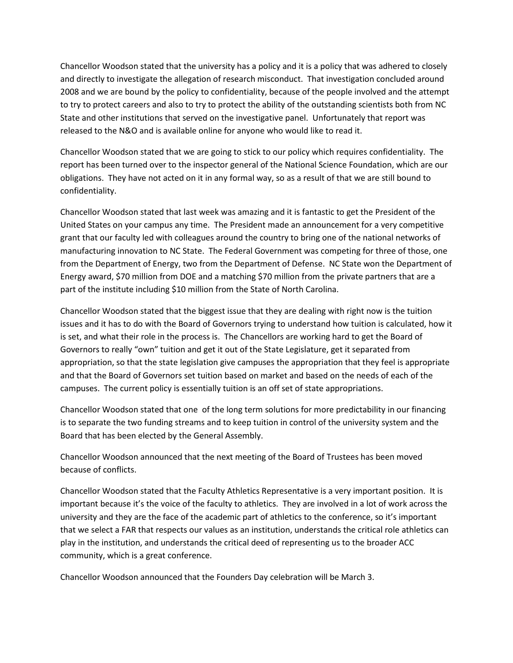Chancellor Woodson stated that the university has a policy and it is a policy that was adhered to closely and directly to investigate the allegation of research misconduct. That investigation concluded around 2008 and we are bound by the policy to confidentiality, because of the people involved and the attempt to try to protect careers and also to try to protect the ability of the outstanding scientists both from NC State and other institutions that served on the investigative panel. Unfortunately that report was released to the N&O and is available online for anyone who would like to read it.

Chancellor Woodson stated that we are going to stick to our policy which requires confidentiality. The report has been turned over to the inspector general of the National Science Foundation, which are our obligations. They have not acted on it in any formal way, so as a result of that we are still bound to confidentiality.

Chancellor Woodson stated that last week was amazing and it is fantastic to get the President of the United States on your campus any time. The President made an announcement for a very competitive grant that our faculty led with colleagues around the country to bring one of the national networks of manufacturing innovation to NC State. The Federal Government was competing for three of those, one from the Department of Energy, two from the Department of Defense. NC State won the Department of Energy award, \$70 million from DOE and a matching \$70 million from the private partners that are a part of the institute including \$10 million from the State of North Carolina.

Chancellor Woodson stated that the biggest issue that they are dealing with right now is the tuition issues and it has to do with the Board of Governors trying to understand how tuition is calculated, how it is set, and what their role in the process is. The Chancellors are working hard to get the Board of Governors to really "own" tuition and get it out of the State Legislature, get it separated from appropriation, so that the state legislation give campuses the appropriation that they feel is appropriate and that the Board of Governors set tuition based on market and based on the needs of each of the campuses. The current policy is essentially tuition is an off set of state appropriations.

Chancellor Woodson stated that one of the long term solutions for more predictability in our financing is to separate the two funding streams and to keep tuition in control of the university system and the Board that has been elected by the General Assembly.

Chancellor Woodson announced that the next meeting of the Board of Trustees has been moved because of conflicts.

Chancellor Woodson stated that the Faculty Athletics Representative is a very important position. It is important because it's the voice of the faculty to athletics. They are involved in a lot of work across the university and they are the face of the academic part of athletics to the conference, so it's important that we select a FAR that respects our values as an institution, understands the critical role athletics can play in the institution, and understands the critical deed of representing us to the broader ACC community, which is a great conference.

Chancellor Woodson announced that the Founders Day celebration will be March 3.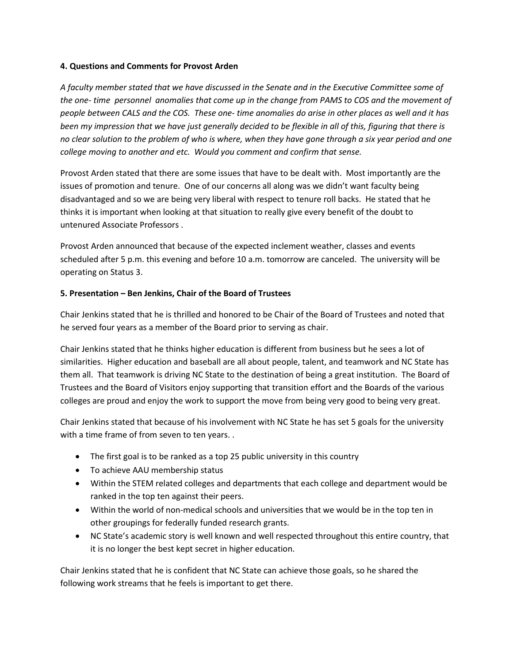### **4. Questions and Comments for Provost Arden**

*A faculty member stated that we have discussed in the Senate and in the Executive Committee some of the one- time personnel anomalies that come up in the change from PAMS to COS and the movement of people between CALS and the COS. These one- time anomalies do arise in other places as well and it has been my impression that we have just generally decided to be flexible in all of this, figuring that there is no clear solution to the problem of who is where, when they have gone through a six year period and one college moving to another and etc. Would you comment and confirm that sense.* 

Provost Arden stated that there are some issues that have to be dealt with. Most importantly are the issues of promotion and tenure. One of our concerns all along was we didn't want faculty being disadvantaged and so we are being very liberal with respect to tenure roll backs. He stated that he thinks it is important when looking at that situation to really give every benefit of the doubt to untenured Associate Professors .

Provost Arden announced that because of the expected inclement weather, classes and events scheduled after 5 p.m. this evening and before 10 a.m. tomorrow are canceled. The university will be operating on Status 3.

# **5. Presentation – Ben Jenkins, Chair of the Board of Trustees**

Chair Jenkins stated that he is thrilled and honored to be Chair of the Board of Trustees and noted that he served four years as a member of the Board prior to serving as chair.

Chair Jenkins stated that he thinks higher education is different from business but he sees a lot of similarities. Higher education and baseball are all about people, talent, and teamwork and NC State has them all. That teamwork is driving NC State to the destination of being a great institution. The Board of Trustees and the Board of Visitors enjoy supporting that transition effort and the Boards of the various colleges are proud and enjoy the work to support the move from being very good to being very great.

Chair Jenkins stated that because of his involvement with NC State he has set 5 goals for the university with a time frame of from seven to ten years. .

- The first goal is to be ranked as a top 25 public university in this country
- To achieve AAU membership status
- Within the STEM related colleges and departments that each college and department would be ranked in the top ten against their peers.
- Within the world of non-medical schools and universities that we would be in the top ten in other groupings for federally funded research grants.
- NC State's academic story is well known and well respected throughout this entire country, that it is no longer the best kept secret in higher education.

Chair Jenkins stated that he is confident that NC State can achieve those goals, so he shared the following work streams that he feels is important to get there.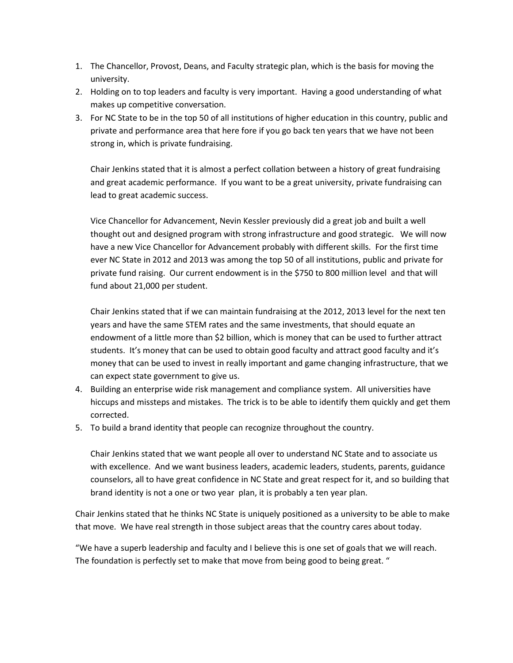- 1. The Chancellor, Provost, Deans, and Faculty strategic plan, which is the basis for moving the university.
- 2. Holding on to top leaders and faculty is very important. Having a good understanding of what makes up competitive conversation.
- 3. For NC State to be in the top 50 of all institutions of higher education in this country, public and private and performance area that here fore if you go back ten years that we have not been strong in, which is private fundraising.

Chair Jenkins stated that it is almost a perfect collation between a history of great fundraising and great academic performance. If you want to be a great university, private fundraising can lead to great academic success.

Vice Chancellor for Advancement, Nevin Kessler previously did a great job and built a well thought out and designed program with strong infrastructure and good strategic. We will now have a new Vice Chancellor for Advancement probably with different skills. For the first time ever NC State in 2012 and 2013 was among the top 50 of all institutions, public and private for private fund raising. Our current endowment is in the \$750 to 800 million level and that will fund about 21,000 per student.

Chair Jenkins stated that if we can maintain fundraising at the 2012, 2013 level for the next ten years and have the same STEM rates and the same investments, that should equate an endowment of a little more than \$2 billion, which is money that can be used to further attract students. It's money that can be used to obtain good faculty and attract good faculty and it's money that can be used to invest in really important and game changing infrastructure, that we can expect state government to give us.

- 4. Building an enterprise wide risk management and compliance system. All universities have hiccups and missteps and mistakes. The trick is to be able to identify them quickly and get them corrected.
- 5. To build a brand identity that people can recognize throughout the country.

Chair Jenkins stated that we want people all over to understand NC State and to associate us with excellence. And we want business leaders, academic leaders, students, parents, guidance counselors, all to have great confidence in NC State and great respect for it, and so building that brand identity is not a one or two year plan, it is probably a ten year plan.

Chair Jenkins stated that he thinks NC State is uniquely positioned as a university to be able to make that move. We have real strength in those subject areas that the country cares about today.

"We have a superb leadership and faculty and I believe this is one set of goals that we will reach. The foundation is perfectly set to make that move from being good to being great. "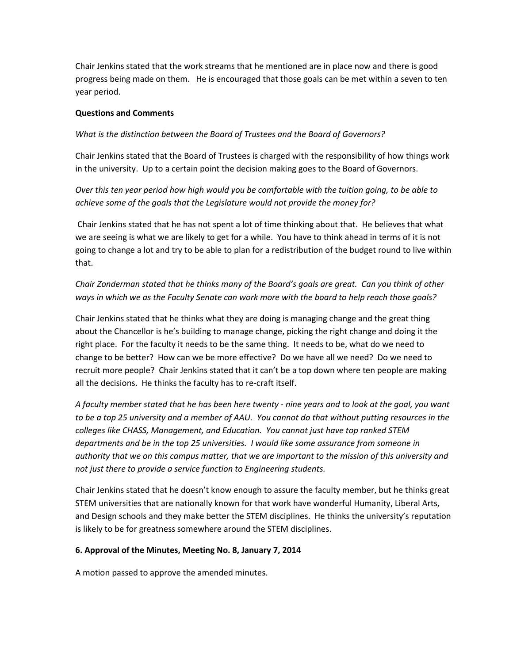Chair Jenkins stated that the work streams that he mentioned are in place now and there is good progress being made on them. He is encouraged that those goals can be met within a seven to ten year period.

### **Questions and Comments**

## *What is the distinction between the Board of Trustees and the Board of Governors?*

Chair Jenkins stated that the Board of Trustees is charged with the responsibility of how things work in the university. Up to a certain point the decision making goes to the Board of Governors.

*Over this ten year period how high would you be comfortable with the tuition going, to be able to achieve some of the goals that the Legislature would not provide the money for?*

Chair Jenkins stated that he has not spent a lot of time thinking about that. He believes that what we are seeing is what we are likely to get for a while. You have to think ahead in terms of it is not going to change a lot and try to be able to plan for a redistribution of the budget round to live within that.

*Chair Zonderman stated that he thinks many of the Board's goals are great. Can you think of other ways in which we as the Faculty Senate can work more with the board to help reach those goals?*

Chair Jenkins stated that he thinks what they are doing is managing change and the great thing about the Chancellor is he's building to manage change, picking the right change and doing it the right place. For the faculty it needs to be the same thing. It needs to be, what do we need to change to be better? How can we be more effective? Do we have all we need? Do we need to recruit more people? Chair Jenkins stated that it can't be a top down where ten people are making all the decisions. He thinks the faculty has to re-craft itself.

*A faculty member stated that he has been here twenty - nine years and to look at the goal, you want to be a top 25 university and a member of AAU. You cannot do that without putting resources in the colleges like CHASS, Management, and Education. You cannot just have top ranked STEM departments and be in the top 25 universities. I would like some assurance from someone in authority that we on this campus matter, that we are important to the mission of this university and not just there to provide a service function to Engineering students.* 

Chair Jenkins stated that he doesn't know enough to assure the faculty member, but he thinks great STEM universities that are nationally known for that work have wonderful Humanity, Liberal Arts, and Design schools and they make better the STEM disciplines. He thinks the university's reputation is likely to be for greatness somewhere around the STEM disciplines.

# **6. Approval of the Minutes, Meeting No. 8, January 7, 2014**

A motion passed to approve the amended minutes.